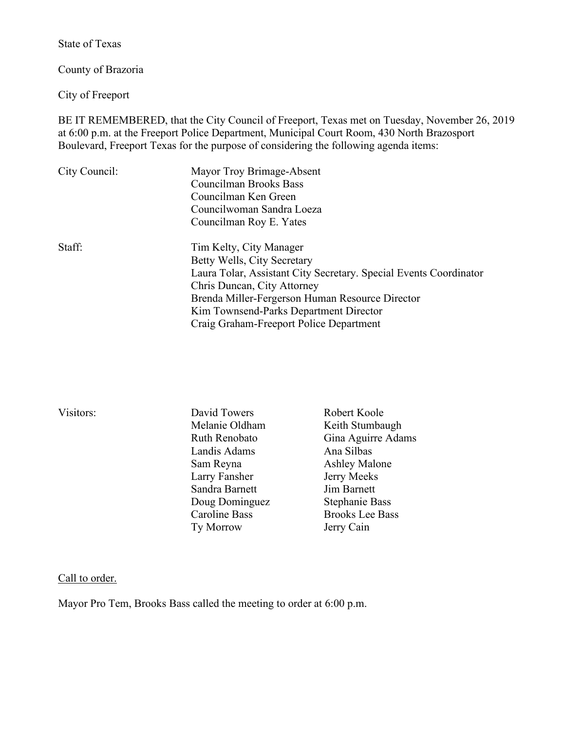State of Texas

County of Brazoria

City of Freeport

BE IT REMEMBERED, that the City Council of Freeport, Texas met on Tuesday, November 26, 2019 at 6:00 p.m. at the Freeport Police Department, Municipal Court Room, 430 North Brazosport Boulevard, Freeport Texas for the purpose of considering the following agenda items:

| City Council: | Mayor Troy Brimage-Absent<br>Councilman Brooks Bass<br>Councilman Ken Green<br>Councilwoman Sandra Loeza<br>Councilman Roy E. Yates                                                                                                                                                                |
|---------------|----------------------------------------------------------------------------------------------------------------------------------------------------------------------------------------------------------------------------------------------------------------------------------------------------|
| Staff:        | Tim Kelty, City Manager<br>Betty Wells, City Secretary<br>Laura Tolar, Assistant City Secretary. Special Events Coordinator<br>Chris Duncan, City Attorney<br>Brenda Miller-Fergerson Human Resource Director<br>Kim Townsend-Parks Department Director<br>Craig Graham-Freeport Police Department |

- David Towers Robert Koole Landis Adams Ana Silbas Sam Reyna<br>
Larry Fansher<br>
Serry Meeks Larry Fansher Sandra Barnett Jim Barnett Doug Dominguez Stephanie Bass Caroline Bass Brooks Lee Bass Ty Morrow Jerry Cain
- Melanie Oldham Keith Stumbaugh<br>
Ruth Renobato Gina Aguirre Ada Gina Aguirre Adams

#### Call to order.

Mayor Pro Tem, Brooks Bass called the meeting to order at 6:00 p.m.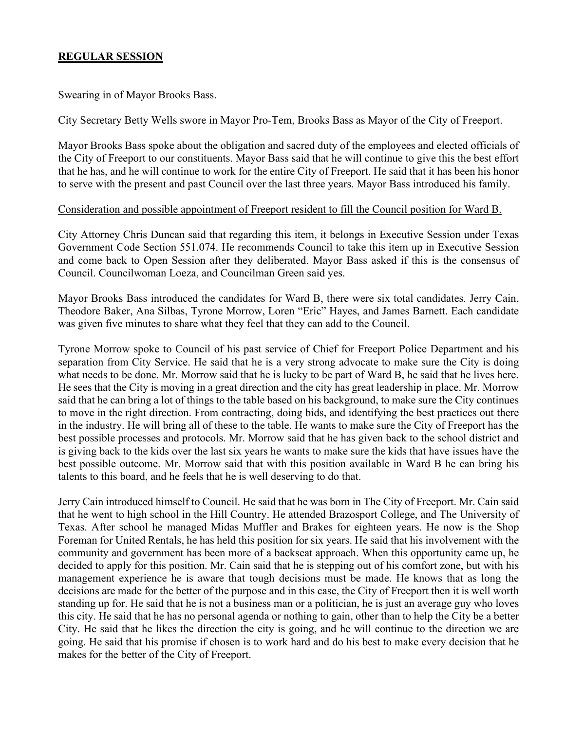# **REGULAR SESSION**

### Swearing in of Mayor Brooks Bass.

City Secretary Betty Wells swore in Mayor Pro-Tem, Brooks Bass as Mayor of the City of Freeport.

Mayor Brooks Bass spoke about the obligation and sacred duty of the employees and elected officials of the City of Freeport to our constituents. Mayor Bass said that he will continue to give this the best effort that he has, and he will continue to work for the entire City of Freeport. He said that it has been his honor to serve with the present and past Council over the last three years. Mayor Bass introduced his family.

### Consideration and possible appointment of Freeport resident to fill the Council position for Ward B.

City Attorney Chris Duncan said that regarding this item, it belongs in Executive Session under Texas Government Code Section 551.074. He recommends Council to take this item up in Executive Session and come back to Open Session after they deliberated. Mayor Bass asked if this is the consensus of Council. Councilwoman Loeza, and Councilman Green said yes.

Mayor Brooks Bass introduced the candidates for Ward B, there were six total candidates. Jerry Cain, Theodore Baker, Ana Silbas, Tyrone Morrow, Loren "Eric" Hayes, and James Barnett. Each candidate was given five minutes to share what they feel that they can add to the Council.

Tyrone Morrow spoke to Council of his past service of Chief for Freeport Police Department and his separation from City Service. He said that he is a very strong advocate to make sure the City is doing what needs to be done. Mr. Morrow said that he is lucky to be part of Ward B, he said that he lives here. He sees that the City is moving in a great direction and the city has great leadership in place. Mr. Morrow said that he can bring a lot of things to the table based on his background, to make sure the City continues to move in the right direction. From contracting, doing bids, and identifying the best practices out there in the industry. He will bring all of these to the table. He wants to make sure the City of Freeport has the best possible processes and protocols. Mr. Morrow said that he has given back to the school district and is giving back to the kids over the last six years he wants to make sure the kids that have issues have the best possible outcome. Mr. Morrow said that with this position available in Ward B he can bring his talents to this board, and he feels that he is well deserving to do that.

Jerry Cain introduced himself to Council. He said that he was born in The City of Freeport. Mr. Cain said that he went to high school in the Hill Country. He attended Brazosport College, and The University of Texas. After school he managed Midas Muffler and Brakes for eighteen years. He now is the Shop Foreman for United Rentals, he has held this position for six years. He said that his involvement with the community and government has been more of a backseat approach. When this opportunity came up, he decided to apply for this position. Mr. Cain said that he is stepping out of his comfort zone, but with his management experience he is aware that tough decisions must be made. He knows that as long the decisions are made for the better of the purpose and in this case, the City of Freeport then it is well worth standing up for. He said that he is not a business man or a politician, he is just an average guy who loves this city. He said that he has no personal agenda or nothing to gain, other than to help the City be a better City. He said that he likes the direction the city is going, and he will continue to the direction we are going. He said that his promise if chosen is to work hard and do his best to make every decision that he makes for the better of the City of Freeport.